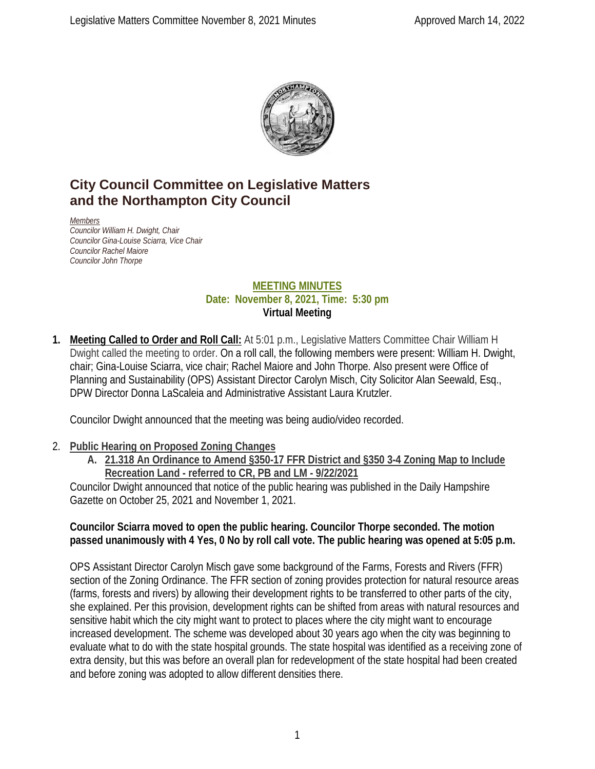

# **City Council Committee on Legislative Matters and the Northampton City Council**

*Members Councilor William H. Dwight, Chair Councilor Gina-Louise Sciarra, Vice Chair Councilor Rachel Maiore Councilor John Thorpe*

#### **MEETING MINUTES Date: November 8, 2021, Time: 5:30 pm Virtual Meeting**

**1. Meeting Called to Order and Roll Call:** At 5:01 p.m., Legislative Matters Committee Chair William H Dwight called the meeting to order. On a roll call, the following members were present: William H. Dwight, chair; Gina-Louise Sciarra, vice chair; Rachel Maiore and John Thorpe. Also present were Office of Planning and Sustainability (OPS) Assistant Director Carolyn Misch, City Solicitor Alan Seewald, Esq., DPW Director Donna LaScaleia and Administrative Assistant Laura Krutzler.

Councilor Dwight announced that the meeting was being audio/video recorded.

# 2. **Public Hearing on Proposed Zoning Changes**

**A. 21.318 An Ordinance to Amend §350-17 FFR District and §350 3-4 Zoning Map to Include Recreation Land - referred to CR, PB and LM - 9/22/2021**

Councilor Dwight announced that notice of the public hearing was published in the Daily Hampshire Gazette on October 25, 2021 and November 1, 2021.

#### **Councilor Sciarra moved to open the public hearing. Councilor Thorpe seconded. The motion passed unanimously with 4 Yes, 0 No by roll call vote. The public hearing was opened at 5:05 p.m.**

OPS Assistant Director Carolyn Misch gave some background of the Farms, Forests and Rivers (FFR) section of the Zoning Ordinance. The FFR section of zoning provides protection for natural resource areas (farms, forests and rivers) by allowing their development rights to be transferred to other parts of the city, she explained. Per this provision, development rights can be shifted from areas with natural resources and sensitive habit which the city might want to protect to places where the city might want to encourage increased development. The scheme was developed about 30 years ago when the city was beginning to evaluate what to do with the state hospital grounds. The state hospital was identified as a receiving zone of extra density, but this was before an overall plan for redevelopment of the state hospital had been created and before zoning was adopted to allow different densities there.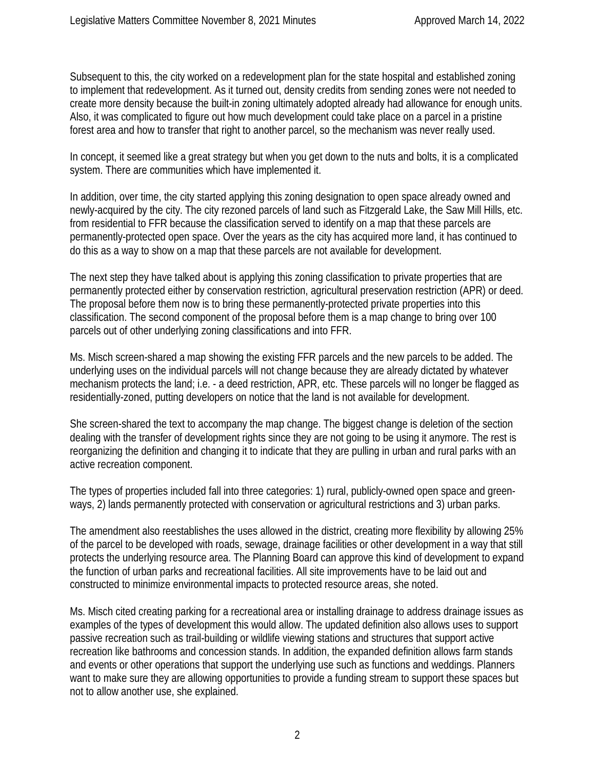Subsequent to this, the city worked on a redevelopment plan for the state hospital and established zoning to implement that redevelopment. As it turned out, density credits from sending zones were not needed to create more density because the built-in zoning ultimately adopted already had allowance for enough units. Also, it was complicated to figure out how much development could take place on a parcel in a pristine forest area and how to transfer that right to another parcel, so the mechanism was never really used.

In concept, it seemed like a great strategy but when you get down to the nuts and bolts, it is a complicated system. There are communities which have implemented it.

In addition, over time, the city started applying this zoning designation to open space already owned and newly-acquired by the city. The city rezoned parcels of land such as Fitzgerald Lake, the Saw Mill Hills, etc. from residential to FFR because the classification served to identify on a map that these parcels are permanently-protected open space. Over the years as the city has acquired more land, it has continued to do this as a way to show on a map that these parcels are not available for development.

The next step they have talked about is applying this zoning classification to private properties that are permanently protected either by conservation restriction, agricultural preservation restriction (APR) or deed. The proposal before them now is to bring these permanently-protected private properties into this classification. The second component of the proposal before them is a map change to bring over 100 parcels out of other underlying zoning classifications and into FFR.

Ms. Misch screen-shared a map showing the existing FFR parcels and the new parcels to be added. The underlying uses on the individual parcels will not change because they are already dictated by whatever mechanism protects the land; i.e. - a deed restriction, APR, etc. These parcels will no longer be flagged as residentially-zoned, putting developers on notice that the land is not available for development.

She screen-shared the text to accompany the map change. The biggest change is deletion of the section dealing with the transfer of development rights since they are not going to be using it anymore. The rest is reorganizing the definition and changing it to indicate that they are pulling in urban and rural parks with an active recreation component.

The types of properties included fall into three categories: 1) rural, publicly-owned open space and greenways, 2) lands permanently protected with conservation or agricultural restrictions and 3) urban parks.

The amendment also reestablishes the uses allowed in the district, creating more flexibility by allowing 25% of the parcel to be developed with roads, sewage, drainage facilities or other development in a way that still protects the underlying resource area. The Planning Board can approve this kind of development to expand the function of urban parks and recreational facilities. All site improvements have to be laid out and constructed to minimize environmental impacts to protected resource areas, she noted.

Ms. Misch cited creating parking for a recreational area or installing drainage to address drainage issues as examples of the types of development this would allow. The updated definition also allows uses to support passive recreation such as trail-building or wildlife viewing stations and structures that support active recreation like bathrooms and concession stands. In addition, the expanded definition allows farm stands and events or other operations that support the underlying use such as functions and weddings. Planners want to make sure they are allowing opportunities to provide a funding stream to support these spaces but not to allow another use, she explained.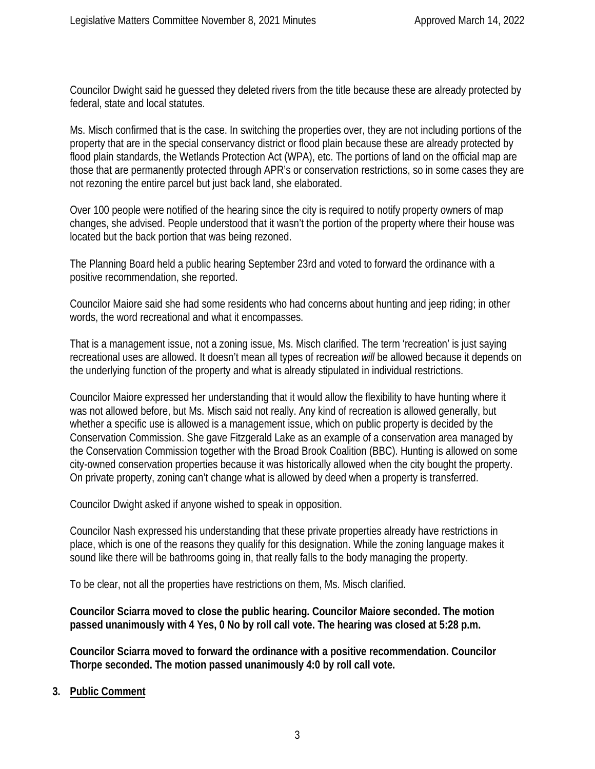Councilor Dwight said he guessed they deleted rivers from the title because these are already protected by federal, state and local statutes.

Ms. Misch confirmed that is the case. In switching the properties over, they are not including portions of the property that are in the special conservancy district or flood plain because these are already protected by flood plain standards, the Wetlands Protection Act (WPA), etc. The portions of land on the official map are those that are permanently protected through APR's or conservation restrictions, so in some cases they are not rezoning the entire parcel but just back land, she elaborated.

Over 100 people were notified of the hearing since the city is required to notify property owners of map changes, she advised. People understood that it wasn't the portion of the property where their house was located but the back portion that was being rezoned.

The Planning Board held a public hearing September 23rd and voted to forward the ordinance with a positive recommendation, she reported.

Councilor Maiore said she had some residents who had concerns about hunting and jeep riding; in other words, the word recreational and what it encompasses.

That is a management issue, not a zoning issue, Ms. Misch clarified. The term 'recreation' is just saying recreational uses are allowed. It doesn't mean all types of recreation *will* be allowed because it depends on the underlying function of the property and what is already stipulated in individual restrictions.

Councilor Maiore expressed her understanding that it would allow the flexibility to have hunting where it was not allowed before, but Ms. Misch said not really. Any kind of recreation is allowed generally, but whether a specific use is allowed is a management issue, which on public property is decided by the Conservation Commission. She gave Fitzgerald Lake as an example of a conservation area managed by the Conservation Commission together with the Broad Brook Coalition (BBC). Hunting is allowed on some city-owned conservation properties because it was historically allowed when the city bought the property. On private property, zoning can't change what is allowed by deed when a property is transferred.

Councilor Dwight asked if anyone wished to speak in opposition.

Councilor Nash expressed his understanding that these private properties already have restrictions in place, which is one of the reasons they qualify for this designation. While the zoning language makes it sound like there will be bathrooms going in, that really falls to the body managing the property.

To be clear, not all the properties have restrictions on them, Ms. Misch clarified.

**Councilor Sciarra moved to close the public hearing. Councilor Maiore seconded. The motion passed unanimously with 4 Yes, 0 No by roll call vote. The hearing was closed at 5:28 p.m.**

**Councilor Sciarra moved to forward the ordinance with a positive recommendation. Councilor Thorpe seconded. The motion passed unanimously 4:0 by roll call vote.**

**3. Public Comment**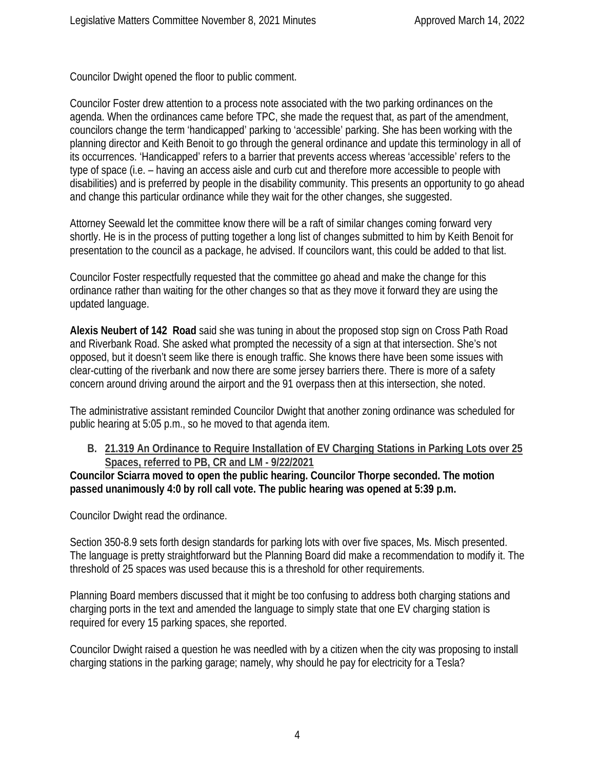Councilor Dwight opened the floor to public comment.

Councilor Foster drew attention to a process note associated with the two parking ordinances on the agenda. When the ordinances came before TPC, she made the request that, as part of the amendment, councilors change the term 'handicapped' parking to 'accessible' parking. She has been working with the planning director and Keith Benoit to go through the general ordinance and update this terminology in all of its occurrences. 'Handicapped' refers to a barrier that prevents access whereas 'accessible' refers to the type of space (i.e. – having an access aisle and curb cut and therefore more accessible to people with disabilities) and is preferred by people in the disability community. This presents an opportunity to go ahead and change this particular ordinance while they wait for the other changes, she suggested.

Attorney Seewald let the committee know there will be a raft of similar changes coming forward very shortly. He is in the process of putting together a long list of changes submitted to him by Keith Benoit for presentation to the council as a package, he advised. If councilors want, this could be added to that list.

Councilor Foster respectfully requested that the committee go ahead and make the change for this ordinance rather than waiting for the other changes so that as they move it forward they are using the updated language.

**Alexis Neubert of 142 Road** said she was tuning in about the proposed stop sign on Cross Path Road and Riverbank Road. She asked what prompted the necessity of a sign at that intersection. She's not opposed, but it doesn't seem like there is enough traffic. She knows there have been some issues with clear-cutting of the riverbank and now there are some jersey barriers there. There is more of a safety concern around driving around the airport and the 91 overpass then at this intersection, she noted.

The administrative assistant reminded Councilor Dwight that another zoning ordinance was scheduled for public hearing at 5:05 p.m., so he moved to that agenda item.

**B. 21.319 An Ordinance to Require Installation of EV Charging Stations in Parking Lots over 25 Spaces, referred to PB, CR and LM - 9/22/2021**

**Councilor Sciarra moved to open the public hearing. Councilor Thorpe seconded. The motion passed unanimously 4:0 by roll call vote. The public hearing was opened at 5:39 p.m.**

Councilor Dwight read the ordinance.

Section 350-8.9 sets forth design standards for parking lots with over five spaces, Ms. Misch presented. The language is pretty straightforward but the Planning Board did make a recommendation to modify it. The threshold of 25 spaces was used because this is a threshold for other requirements.

Planning Board members discussed that it might be too confusing to address both charging stations and charging ports in the text and amended the language to simply state that one EV charging station is required for every 15 parking spaces, she reported.

Councilor Dwight raised a question he was needled with by a citizen when the city was proposing to install charging stations in the parking garage; namely, why should he pay for electricity for a Tesla?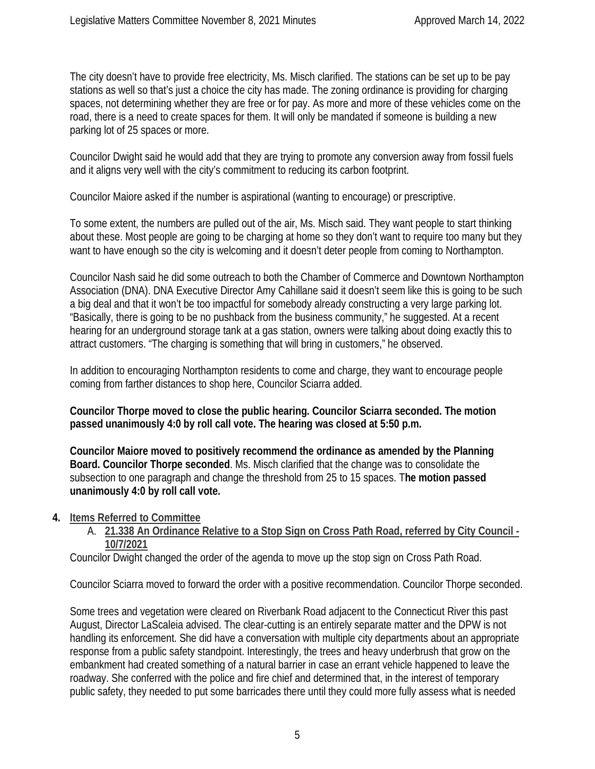The city doesn't have to provide free electricity, Ms. Misch clarified. The stations can be set up to be pay stations as well so that's just a choice the city has made. The zoning ordinance is providing for charging spaces, not determining whether they are free or for pay. As more and more of these vehicles come on the road, there is a need to create spaces for them. It will only be mandated if someone is building a new parking lot of 25 spaces or more.

Councilor Dwight said he would add that they are trying to promote any conversion away from fossil fuels and it aligns very well with the city's commitment to reducing its carbon footprint.

Councilor Maiore asked if the number is aspirational (wanting to encourage) or prescriptive.

To some extent, the numbers are pulled out of the air, Ms. Misch said. They want people to start thinking about these. Most people are going to be charging at home so they don't want to require too many but they want to have enough so the city is welcoming and it doesn't deter people from coming to Northampton.

Councilor Nash said he did some outreach to both the Chamber of Commerce and Downtown Northampton Association (DNA). DNA Executive Director Amy Cahillane said it doesn't seem like this is going to be such a big deal and that it won't be too impactful for somebody already constructing a very large parking lot. "Basically, there is going to be no pushback from the business community," he suggested. At a recent hearing for an underground storage tank at a gas station, owners were talking about doing exactly this to attract customers. "The charging is something that will bring in customers," he observed.

In addition to encouraging Northampton residents to come and charge, they want to encourage people coming from farther distances to shop here, Councilor Sciarra added.

**Councilor Thorpe moved to close the public hearing. Councilor Sciarra seconded. The motion passed unanimously 4:0 by roll call vote. The hearing was closed at 5:50 p.m.**

**Councilor Maiore moved to positively recommend the ordinance as amended by the Planning Board. Councilor Thorpe seconded**. Ms. Misch clarified that the change was to consolidate the subsection to one paragraph and change the threshold from 25 to 15 spaces. T**he motion passed unanimously 4:0 by roll call vote.**

#### **4. Items Referred to Committee**

A. **21.338 An Ordinance Relative to a Stop Sign on Cross Path Road, referred by City Council - 10/7/2021**

Councilor Dwight changed the order of the agenda to move up the stop sign on Cross Path Road.

Councilor Sciarra moved to forward the order with a positive recommendation. Councilor Thorpe seconded.

Some trees and vegetation were cleared on Riverbank Road adjacent to the Connecticut River this past August, Director LaScaleia advised. The clear-cutting is an entirely separate matter and the DPW is not handling its enforcement. She did have a conversation with multiple city departments about an appropriate response from a public safety standpoint. Interestingly, the trees and heavy underbrush that grow on the embankment had created something of a natural barrier in case an errant vehicle happened to leave the roadway. She conferred with the police and fire chief and determined that, in the interest of temporary public safety, they needed to put some barricades there until they could more fully assess what is needed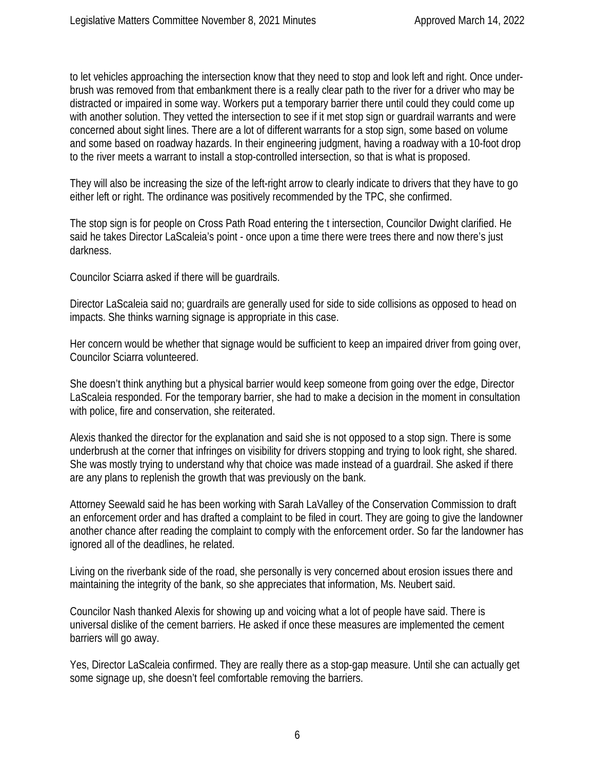to let vehicles approaching the intersection know that they need to stop and look left and right. Once underbrush was removed from that embankment there is a really clear path to the river for a driver who may be distracted or impaired in some way. Workers put a temporary barrier there until could they could come up with another solution. They vetted the intersection to see if it met stop sign or guardrail warrants and were concerned about sight lines. There are a lot of different warrants for a stop sign, some based on volume and some based on roadway hazards. In their engineering judgment, having a roadway with a 10-foot drop to the river meets a warrant to install a stop-controlled intersection, so that is what is proposed.

They will also be increasing the size of the left-right arrow to clearly indicate to drivers that they have to go either left or right. The ordinance was positively recommended by the TPC, she confirmed.

The stop sign is for people on Cross Path Road entering the t intersection, Councilor Dwight clarified. He said he takes Director LaScaleia's point - once upon a time there were trees there and now there's just darkness.

Councilor Sciarra asked if there will be guardrails.

Director LaScaleia said no; guardrails are generally used for side to side collisions as opposed to head on impacts. She thinks warning signage is appropriate in this case.

Her concern would be whether that signage would be sufficient to keep an impaired driver from going over, Councilor Sciarra volunteered.

She doesn't think anything but a physical barrier would keep someone from going over the edge, Director LaScaleia responded. For the temporary barrier, she had to make a decision in the moment in consultation with police, fire and conservation, she reiterated.

Alexis thanked the director for the explanation and said she is not opposed to a stop sign. There is some underbrush at the corner that infringes on visibility for drivers stopping and trying to look right, she shared. She was mostly trying to understand why that choice was made instead of a guardrail. She asked if there are any plans to replenish the growth that was previously on the bank.

Attorney Seewald said he has been working with Sarah LaValley of the Conservation Commission to draft an enforcement order and has drafted a complaint to be filed in court. They are going to give the landowner another chance after reading the complaint to comply with the enforcement order. So far the landowner has ignored all of the deadlines, he related.

Living on the riverbank side of the road, she personally is very concerned about erosion issues there and maintaining the integrity of the bank, so she appreciates that information, Ms. Neubert said.

Councilor Nash thanked Alexis for showing up and voicing what a lot of people have said. There is universal dislike of the cement barriers. He asked if once these measures are implemented the cement barriers will go away.

Yes, Director LaScaleia confirmed. They are really there as a stop-gap measure. Until she can actually get some signage up, she doesn't feel comfortable removing the barriers.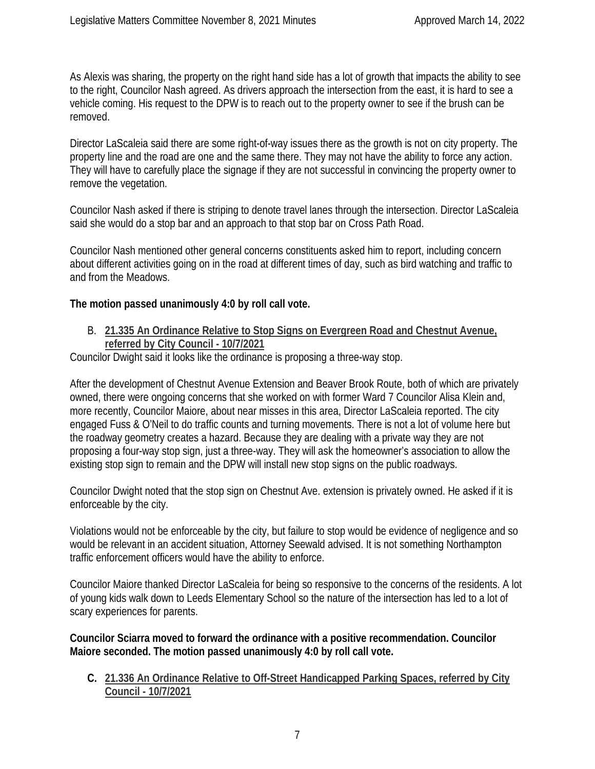As Alexis was sharing, the property on the right hand side has a lot of growth that impacts the ability to see to the right, Councilor Nash agreed. As drivers approach the intersection from the east, it is hard to see a vehicle coming. His request to the DPW is to reach out to the property owner to see if the brush can be removed.

Director LaScaleia said there are some right-of-way issues there as the growth is not on city property. The property line and the road are one and the same there. They may not have the ability to force any action. They will have to carefully place the signage if they are not successful in convincing the property owner to remove the vegetation.

Councilor Nash asked if there is striping to denote travel lanes through the intersection. Director LaScaleia said she would do a stop bar and an approach to that stop bar on Cross Path Road.

Councilor Nash mentioned other general concerns constituents asked him to report, including concern about different activities going on in the road at different times of day, such as bird watching and traffic to and from the Meadows.

### **The motion passed unanimously 4:0 by roll call vote.**

B. **21.335 An Ordinance Relative to Stop Signs on Evergreen Road and Chestnut Avenue, referred by City Council - 10/7/2021**

Councilor Dwight said it looks like the ordinance is proposing a three-way stop.

After the development of Chestnut Avenue Extension and Beaver Brook Route, both of which are privately owned, there were ongoing concerns that she worked on with former Ward 7 Councilor Alisa Klein and, more recently, Councilor Maiore, about near misses in this area, Director LaScaleia reported. The city engaged Fuss & O'Neil to do traffic counts and turning movements. There is not a lot of volume here but the roadway geometry creates a hazard. Because they are dealing with a private way they are not proposing a four-way stop sign, just a three-way. They will ask the homeowner's association to allow the existing stop sign to remain and the DPW will install new stop signs on the public roadways.

Councilor Dwight noted that the stop sign on Chestnut Ave. extension is privately owned. He asked if it is enforceable by the city.

Violations would not be enforceable by the city, but failure to stop would be evidence of negligence and so would be relevant in an accident situation, Attorney Seewald advised. It is not something Northampton traffic enforcement officers would have the ability to enforce.

Councilor Maiore thanked Director LaScaleia for being so responsive to the concerns of the residents. A lot of young kids walk down to Leeds Elementary School so the nature of the intersection has led to a lot of scary experiences for parents.

**Councilor Sciarra moved to forward the ordinance with a positive recommendation. Councilor Maiore seconded. The motion passed unanimously 4:0 by roll call vote.**

**C. 21.336 An Ordinance Relative to Off-Street Handicapped Parking Spaces, referred by City Council - 10/7/2021**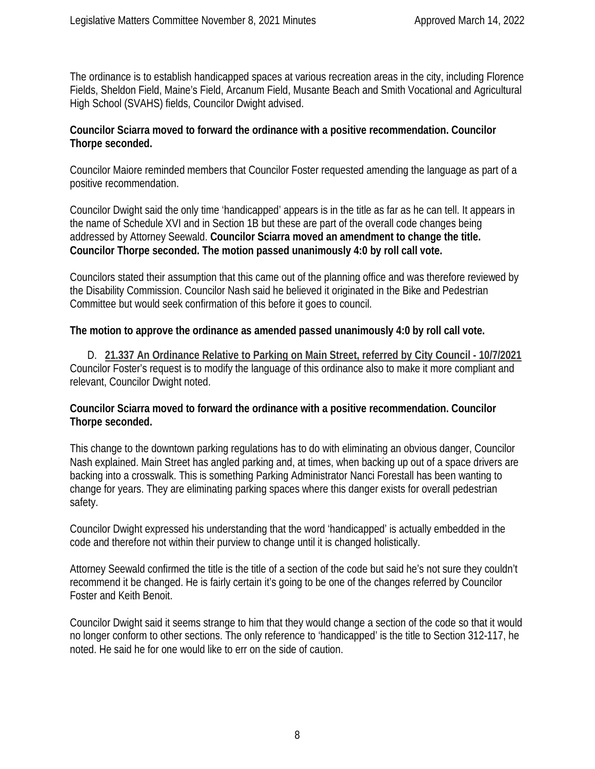The ordinance is to establish handicapped spaces at various recreation areas in the city, including Florence Fields, Sheldon Field, Maine's Field, Arcanum Field, Musante Beach and Smith Vocational and Agricultural High School (SVAHS) fields, Councilor Dwight advised.

#### **Councilor Sciarra moved to forward the ordinance with a positive recommendation. Councilor Thorpe seconded.**

Councilor Maiore reminded members that Councilor Foster requested amending the language as part of a positive recommendation.

Councilor Dwight said the only time 'handicapped' appears is in the title as far as he can tell. It appears in the name of Schedule XVI and in Section 1B but these are part of the overall code changes being addressed by Attorney Seewald. **Councilor Sciarra moved an amendment to change the title. Councilor Thorpe seconded. The motion passed unanimously 4:0 by roll call vote.**

Councilors stated their assumption that this came out of the planning office and was therefore reviewed by the Disability Commission. Councilor Nash said he believed it originated in the Bike and Pedestrian Committee but would seek confirmation of this before it goes to council.

**The motion to approve the ordinance as amended passed unanimously 4:0 by roll call vote.**

D. **21.337 An Ordinance Relative to Parking on Main Street, referred by City Council - 10/7/2021** Councilor Foster's request is to modify the language of this ordinance also to make it more compliant and relevant, Councilor Dwight noted.

#### **Councilor Sciarra moved to forward the ordinance with a positive recommendation. Councilor Thorpe seconded.**

This change to the downtown parking regulations has to do with eliminating an obvious danger, Councilor Nash explained. Main Street has angled parking and, at times, when backing up out of a space drivers are backing into a crosswalk. This is something Parking Administrator Nanci Forestall has been wanting to change for years. They are eliminating parking spaces where this danger exists for overall pedestrian safety.

Councilor Dwight expressed his understanding that the word 'handicapped' is actually embedded in the code and therefore not within their purview to change until it is changed holistically.

Attorney Seewald confirmed the title is the title of a section of the code but said he's not sure they couldn't recommend it be changed. He is fairly certain it's going to be one of the changes referred by Councilor Foster and Keith Benoit.

Councilor Dwight said it seems strange to him that they would change a section of the code so that it would no longer conform to other sections. The only reference to 'handicapped' is the title to Section 312-117, he noted. He said he for one would like to err on the side of caution.